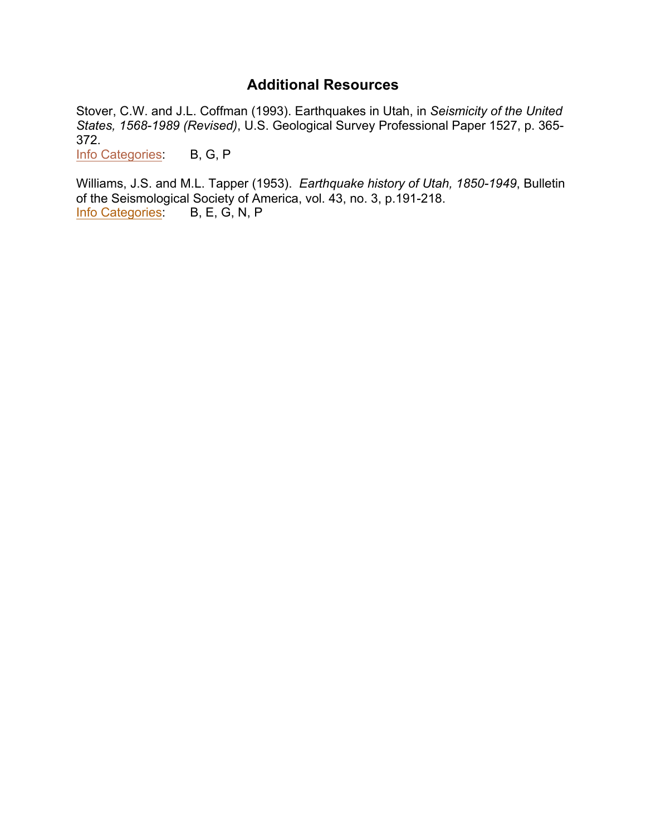# **Additional Resources**

<span id="page-0-0"></span>Stover, C.W. and J.L. Coffman (1993). Earthquakes in Utah, in *Seismicity of the United States, 1568-1989 (Revised)*, U.S. Geological Survey Professional Paper 1527, p. 365- 372.

[Info Categories](#page-1-0) B, G, P

Williams, J.S. and M.L. Tapper (1953).*Earthquake history of Utah, 1850-1949*, Bulletin of the Seismological Society of America, vol. 43, no. 3, p.191-218.<br>Info Categories: B, E, G, N, P Info Categories